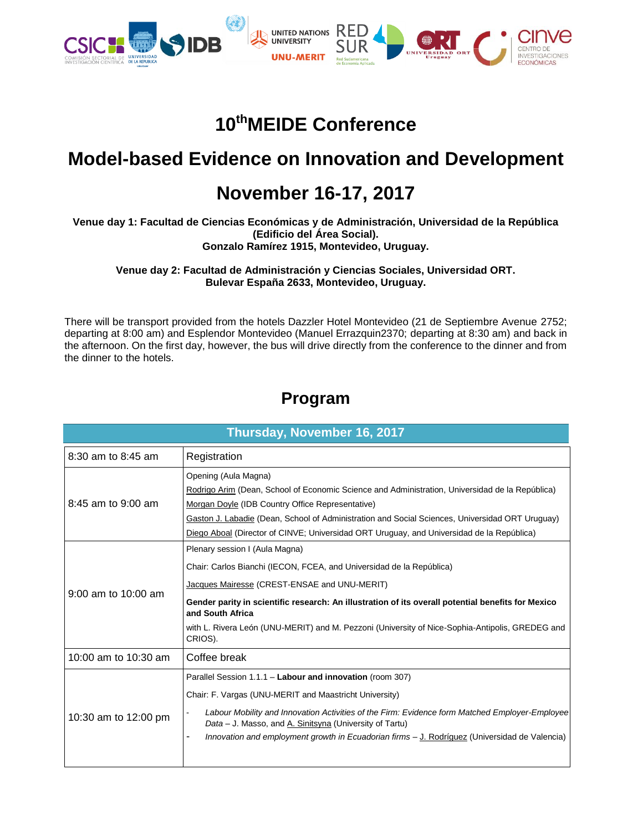

# **10thMEIDE Conference**

## **Model-based Evidence on Innovation and Development**

## **November 16-17, 2017**

**Venue day 1: Facultad de Ciencias Económicas y de Administración, Universidad de la República (Edificio del Área Social). Gonzalo Ramírez 1915, Montevideo, Uruguay.**

**Venue day 2: Facultad de Administración y Ciencias Sociales, Universidad ORT. Bulevar España 2633, Montevideo, Uruguay.**

There will be transport provided from the hotels Dazzler Hotel Montevideo (21 de Septiembre Avenue 2752; departing at 8:00 am) and Esplendor Montevideo (Manuel Errazquin2370; departing at 8:30 am) and back in the afternoon. On the first day, however, the bus will drive directly from the conference to the dinner and from the dinner to the hotels.

### **Program**

| Thursday, November 16, 2017 |                                                                                                                                                                                                                                                                                                                                                                                                |  |  |  |  |
|-----------------------------|------------------------------------------------------------------------------------------------------------------------------------------------------------------------------------------------------------------------------------------------------------------------------------------------------------------------------------------------------------------------------------------------|--|--|--|--|
| 8:30 am to 8:45 am          | Registration                                                                                                                                                                                                                                                                                                                                                                                   |  |  |  |  |
| $8:45$ am to $9:00$ am      | Opening (Aula Magna)<br>Rodrigo Arim (Dean, School of Economic Science and Administration, Universidad de la República)<br>Morgan Doyle (IDB Country Office Representative)<br>Gaston J. Labadie (Dean, School of Administration and Social Sciences, Universidad ORT Uruguay)<br>Diego Aboal (Director of CINVE; Universidad ORT Uruguay, and Universidad de la República)                    |  |  |  |  |
| $9:00$ am to 10:00 am       | Plenary session I (Aula Magna)<br>Chair: Carlos Bianchi (IECON, FCEA, and Universidad de la República)<br>Jacques Mairesse (CREST-ENSAE and UNU-MERIT)<br>Gender parity in scientific research: An illustration of its overall potential benefits for Mexico<br>and South Africa<br>with L. Rivera León (UNU-MERIT) and M. Pezzoni (University of Nice-Sophia-Antipolis, GREDEG and<br>CRIOS). |  |  |  |  |
| 10:00 am to $10:30$ am      | Coffee break                                                                                                                                                                                                                                                                                                                                                                                   |  |  |  |  |
| 10:30 am to 12:00 pm        | Parallel Session 1.1.1 - Labour and innovation (room 307)<br>Chair: F. Vargas (UNU-MERIT and Maastricht University)<br>Labour Mobility and Innovation Activities of the Firm: Evidence form Matched Employer-Employee<br>Data – J. Masso, and A. Sinitsyna (University of Tartu)<br>Innovation and employment growth in Ecuadorian firms - J. Rodríguez (Universidad de Valencia)<br>-         |  |  |  |  |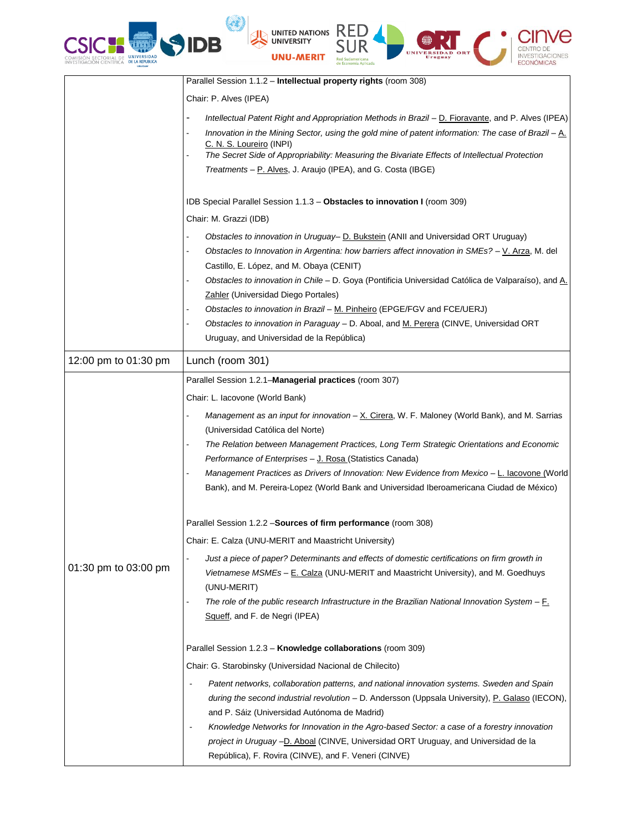|                                          | <b>UNITED NATIONS</b><br>UNU-MERIT                                                                                                                                                                                                                                                                                                                                                                                                                                                                                                                                                                     |  |  |  |  |  |  |
|------------------------------------------|--------------------------------------------------------------------------------------------------------------------------------------------------------------------------------------------------------------------------------------------------------------------------------------------------------------------------------------------------------------------------------------------------------------------------------------------------------------------------------------------------------------------------------------------------------------------------------------------------------|--|--|--|--|--|--|
|                                          | Parallel Session 1.1.2 - Intellectual property rights (room 308)                                                                                                                                                                                                                                                                                                                                                                                                                                                                                                                                       |  |  |  |  |  |  |
|                                          | Chair: P. Alves (IPEA)                                                                                                                                                                                                                                                                                                                                                                                                                                                                                                                                                                                 |  |  |  |  |  |  |
|                                          | Intellectual Patent Right and Appropriation Methods in Brazil – D. Fioravante, and P. Alves (IPEA)<br>Innovation in the Mining Sector, using the gold mine of patent information: The case of Brazil – $A$ .<br>C. N. S. Loureiro (INPI)<br>The Secret Side of Appropriability: Measuring the Bivariate Effects of Intellectual Protection<br>Treatments – P. Alves, J. Araujo (IPEA), and G. Costa (IBGE)                                                                                                                                                                                             |  |  |  |  |  |  |
|                                          | IDB Special Parallel Session 1.1.3 - Obstacles to innovation I (room 309)                                                                                                                                                                                                                                                                                                                                                                                                                                                                                                                              |  |  |  |  |  |  |
|                                          | Chair: M. Grazzi (IDB)                                                                                                                                                                                                                                                                                                                                                                                                                                                                                                                                                                                 |  |  |  |  |  |  |
|                                          | Obstacles to innovation in Uruguay– D. Bukstein (ANII and Universidad ORT Uruguay)<br>Obstacles to Innovation in Argentina: how barriers affect innovation in SMEs? - V. Arza, M. del<br>Castillo, E. López, and M. Obaya (CENIT)<br>Obstacles to innovation in Chile - D. Goya (Pontificia Universidad Católica de Valparaíso), and A.<br><b>Zahler</b> (Universidad Diego Portales)<br>Obstacles to innovation in Brazil - M. Pinheiro (EPGE/FGV and FCE/UERJ)<br>Obstacles to innovation in Paraguay - D. Aboal, and M. Perera (CINVE, Universidad ORT<br>Uruguay, and Universidad de la República) |  |  |  |  |  |  |
| 12:00 pm to 01:30 pm<br>Lunch (room 301) |                                                                                                                                                                                                                                                                                                                                                                                                                                                                                                                                                                                                        |  |  |  |  |  |  |
|                                          | Parallel Session 1.2.1-Managerial practices (room 307)                                                                                                                                                                                                                                                                                                                                                                                                                                                                                                                                                 |  |  |  |  |  |  |
|                                          | Chair: L. Iacovone (World Bank)                                                                                                                                                                                                                                                                                                                                                                                                                                                                                                                                                                        |  |  |  |  |  |  |
|                                          | Management as an input for innovation – X. Cirera, W. F. Maloney (World Bank), and M. Sarrias<br>(Universidad Católica del Norte)<br>The Relation between Management Practices, Long Term Strategic Orientations and Economic<br>Performance of Enterprises - J. Rosa (Statistics Canada)<br>Management Practices as Drivers of Innovation: New Evidence from Mexico - L. lacovone (World<br>Bank), and M. Pereira-Lopez (World Bank and Universidad Iberoamericana Ciudad de México)                                                                                                                  |  |  |  |  |  |  |
|                                          | Parallel Session 1.2.2 - Sources of firm performance (room 308)                                                                                                                                                                                                                                                                                                                                                                                                                                                                                                                                        |  |  |  |  |  |  |
|                                          | Chair: E. Calza (UNU-MERIT and Maastricht University)                                                                                                                                                                                                                                                                                                                                                                                                                                                                                                                                                  |  |  |  |  |  |  |
| 01:30 pm to 03:00 pm                     | Just a piece of paper? Determinants and effects of domestic certifications on firm growth in<br>Vietnamese MSMEs - E. Calza (UNU-MERIT and Maastricht University), and M. Goedhuys<br>(UNU-MERIT)<br>The role of the public research Infrastructure in the Brazilian National Innovation System $-F$ .<br>Squeff, and F. de Negri (IPEA)                                                                                                                                                                                                                                                               |  |  |  |  |  |  |
|                                          | Parallel Session 1.2.3 - Knowledge collaborations (room 309)                                                                                                                                                                                                                                                                                                                                                                                                                                                                                                                                           |  |  |  |  |  |  |
|                                          | Chair: G. Starobinsky (Universidad Nacional de Chilecito)                                                                                                                                                                                                                                                                                                                                                                                                                                                                                                                                              |  |  |  |  |  |  |
|                                          | Patent networks, collaboration patterns, and national innovation systems. Sweden and Spain<br>during the second industrial revolution - D. Andersson (Uppsala University), P. Galaso (IECON),<br>and P. Sáiz (Universidad Autónoma de Madrid)<br>Knowledge Networks for Innovation in the Agro-based Sector: a case of a forestry innovation<br>project in Uruguay - D. Aboal (CINVE, Universidad ORT Uruguay, and Universidad de la<br>República), F. Rovira (CINVE), and F. Veneri (CINVE)                                                                                                           |  |  |  |  |  |  |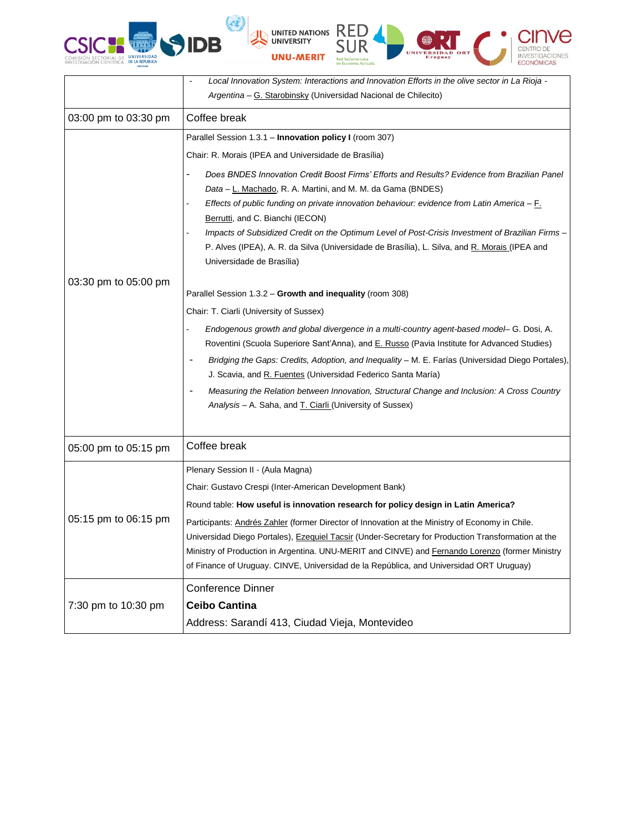



**UNITED NATIONS** 

**UNIVERSITY** UNU-MERI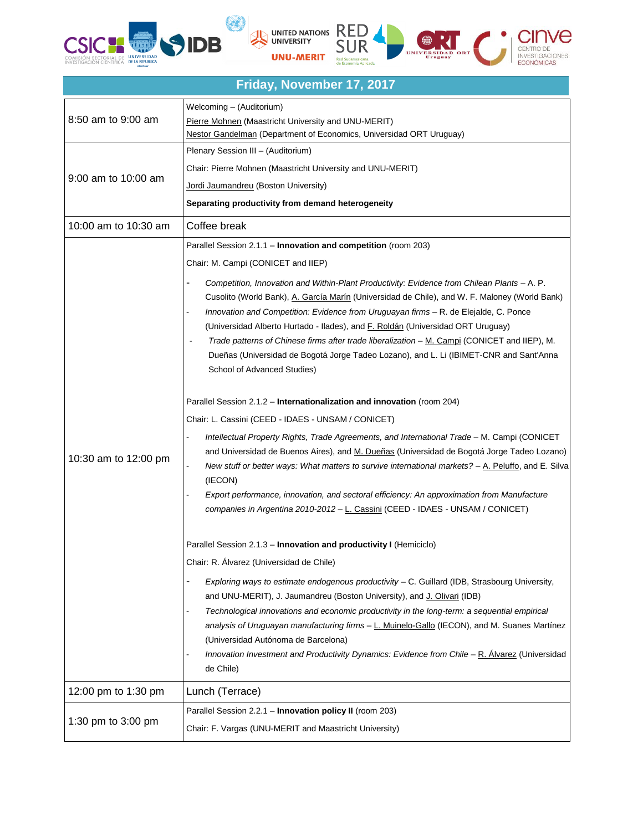





| Friday, November 17, 2017 |                                                                                                                                                                                                                                                                                                                                                                                                                                                                                                                                                                                                  |  |  |  |  |
|---------------------------|--------------------------------------------------------------------------------------------------------------------------------------------------------------------------------------------------------------------------------------------------------------------------------------------------------------------------------------------------------------------------------------------------------------------------------------------------------------------------------------------------------------------------------------------------------------------------------------------------|--|--|--|--|
| 8:50 am to 9:00 am        | Welcoming - (Auditorium)<br>Pierre Mohnen (Maastricht University and UNU-MERIT)<br>Nestor Gandelman (Department of Economics, Universidad ORT Uruguay)                                                                                                                                                                                                                                                                                                                                                                                                                                           |  |  |  |  |
|                           | Plenary Session III - (Auditorium)                                                                                                                                                                                                                                                                                                                                                                                                                                                                                                                                                               |  |  |  |  |
|                           | Chair: Pierre Mohnen (Maastricht University and UNU-MERIT)                                                                                                                                                                                                                                                                                                                                                                                                                                                                                                                                       |  |  |  |  |
| 9:00 am to 10:00 am       | Jordi Jaumandreu (Boston University)                                                                                                                                                                                                                                                                                                                                                                                                                                                                                                                                                             |  |  |  |  |
|                           | Separating productivity from demand heterogeneity                                                                                                                                                                                                                                                                                                                                                                                                                                                                                                                                                |  |  |  |  |
| 10:00 am to 10:30 am      | Coffee break                                                                                                                                                                                                                                                                                                                                                                                                                                                                                                                                                                                     |  |  |  |  |
|                           | Parallel Session 2.1.1 - Innovation and competition (room 203)                                                                                                                                                                                                                                                                                                                                                                                                                                                                                                                                   |  |  |  |  |
|                           | Chair: M. Campi (CONICET and IIEP)                                                                                                                                                                                                                                                                                                                                                                                                                                                                                                                                                               |  |  |  |  |
|                           | Competition, Innovation and Within-Plant Productivity: Evidence from Chilean Plants - A. P.<br>Cusolito (World Bank), A. García Marín (Universidad de Chile), and W. F. Maloney (World Bank)<br>Innovation and Competition: Evidence from Uruguayan firms - R. de Elejalde, C. Ponce<br>(Universidad Alberto Hurtado - Ilades), and F. Roldán (Universidad ORT Uruguay)<br>Trade patterns of Chinese firms after trade liberalization – M. Campi (CONICET and IIEP), M.<br>Dueñas (Universidad de Bogotá Jorge Tadeo Lozano), and L. Li (IBIMET-CNR and Sant'Anna<br>School of Advanced Studies) |  |  |  |  |
|                           | Parallel Session 2.1.2 - Internationalization and innovation (room 204)                                                                                                                                                                                                                                                                                                                                                                                                                                                                                                                          |  |  |  |  |
|                           | Chair: L. Cassini (CEED - IDAES - UNSAM / CONICET)                                                                                                                                                                                                                                                                                                                                                                                                                                                                                                                                               |  |  |  |  |
| 10:30 am to 12:00 pm      | Intellectual Property Rights, Trade Agreements, and International Trade – M. Campi (CONICET<br>$\blacksquare$<br>and Universidad de Buenos Aires), and M. Dueñas (Universidad de Bogotá Jorge Tadeo Lozano)<br>New stuff or better ways: What matters to survive international markets? - A. Peluffo, and E. Silva<br>(IECON)<br>Export performance, innovation, and sectoral efficiency: An approximation from Manufacture<br>companies in Argentina 2010-2012 - L. Cassini (CEED - IDAES - UNSAM / CONICET)                                                                                    |  |  |  |  |
|                           | Parallel Session 2.1.3 – Innovation and productivity I (Hemiciclo)                                                                                                                                                                                                                                                                                                                                                                                                                                                                                                                               |  |  |  |  |
|                           | Chair: R. Álvarez (Universidad de Chile)                                                                                                                                                                                                                                                                                                                                                                                                                                                                                                                                                         |  |  |  |  |
|                           | Exploring ways to estimate endogenous productivity - C. Guillard (IDB, Strasbourg University,<br>$\overline{\phantom{a}}$<br>and UNU-MERIT), J. Jaumandreu (Boston University), and J. Olivari (IDB)<br>Technological innovations and economic productivity in the long-term: a sequential empirical<br>analysis of Uruguayan manufacturing firms - L. Muinelo-Gallo (IECON), and M. Suanes Martínez<br>(Universidad Autónoma de Barcelona)<br>Innovation Investment and Productivity Dynamics: Evidence from Chile - $R$ . Álvarez (Universidad<br>de Chile)                                    |  |  |  |  |
| 12:00 pm to 1:30 pm       | Lunch (Terrace)                                                                                                                                                                                                                                                                                                                                                                                                                                                                                                                                                                                  |  |  |  |  |
| 1:30 pm to 3:00 pm        | Parallel Session 2.2.1 - Innovation policy II (room 203)                                                                                                                                                                                                                                                                                                                                                                                                                                                                                                                                         |  |  |  |  |
|                           | Chair: F. Vargas (UNU-MERIT and Maastricht University)                                                                                                                                                                                                                                                                                                                                                                                                                                                                                                                                           |  |  |  |  |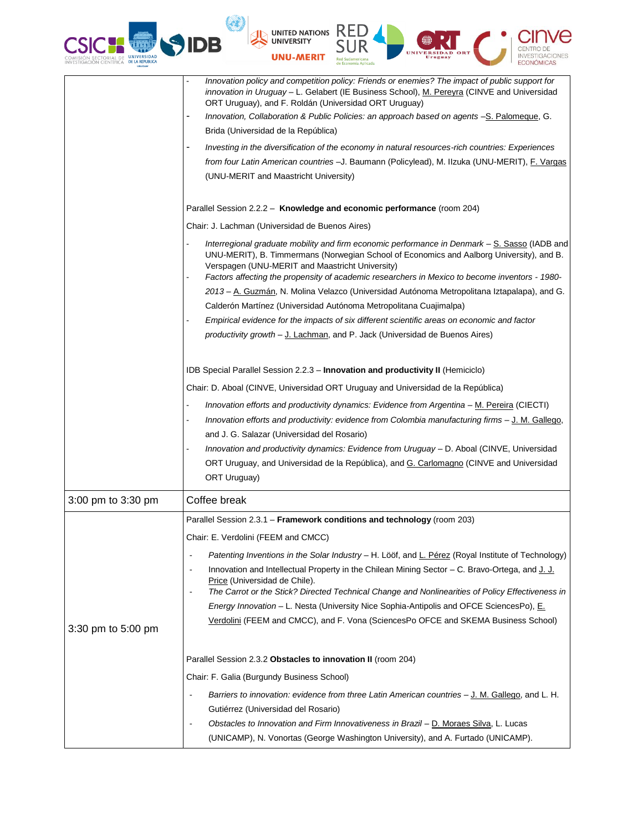| CSIC<br>COMISIÓN SECTORIAL DE<br>nvestigación científic | <b>UNIVERSIDAD</b><br>DE LA REPUBLICA<br><b><i>USE SCIENT</i></b> |  | JUNITED NATIONS<br><b>UNIVERSITY</b><br><b>UNU-MERIT</b> | <b>RFD</b><br>de Economía Aplicada                    | ●<br>Uruguay                                                                                   | cinve<br>CENTRO DE<br><b>INVESTIGACIONES</b><br><b>ECONÓMICAS</b> |
|---------------------------------------------------------|-------------------------------------------------------------------|--|----------------------------------------------------------|-------------------------------------------------------|------------------------------------------------------------------------------------------------|-------------------------------------------------------------------|
|                                                         |                                                                   |  |                                                          |                                                       | Innovation policy and competition policy: Friends or enemies? The impact of public support for |                                                                   |
|                                                         |                                                                   |  |                                                          |                                                       | innovation in Uruguay - L. Gelabert (IE Business School), M. Pereyra (CINVE and Universidad    |                                                                   |
|                                                         |                                                                   |  |                                                          | ORT Uruguay), and F. Roldán (Universidad ORT Uruguay) |                                                                                                |                                                                   |
|                                                         |                                                                   |  |                                                          |                                                       |                                                                                                |                                                                   |

- Innovation, Collaboration & Public Policies: an approach based on agents -S. Palomeque, G. Brida (Universidad de la República)
- *Investing in the diversification of the economy in natural resources-rich countries: Experiences from four Latin American countries* –J. Baumann (Policylead), M. IIzuka (UNU-MERIT), F. Vargas (UNU-MERIT and Maastricht University)

Parallel Session 2.2.2 – **Knowledge and economic performance** (room 204)

Chair: J. Lachman (Universidad de Buenos Aires)

- *Interregional graduate mobility and firm economic performance in Denmark* S. Sasso (IADB and UNU-MERIT), B. Timmermans (Norwegian School of Economics and Aalborg University), and B. Verspagen (UNU-MERIT and Maastricht University)
- *Factors affecting the propensity of academic researchers in Mexico to become inventors - 1980- 2013* – A. Guzmán, N. Molina Velazco (Universidad Autónoma Metropolitana Iztapalapa), and G. Calderón Martínez (Universidad Autónoma Metropolitana Cuajimalpa)
- *Empirical evidence for the impacts of six different scientific areas on economic and factor productivity growth* – J. Lachman, and P. Jack (Universidad de Buenos Aires)

IDB Special Parallel Session 2.2.3 – **Innovation and productivity II** (Hemiciclo)

Chair: D. Aboal (CINVE, Universidad ORT Uruguay and Universidad de la República)

- Innovation efforts and productivity dynamics: Evidence from Argentina M. Pereira (CIECTI)
- *Innovation efforts and productivity: evidence from Colombia manufacturing firms* J. M. Gallego, and J. G. Salazar (Universidad del Rosario)
- *Innovation and productivity dynamics: Evidence from Uruguay* D. Aboal (CINVE, Universidad ORT Uruguay, and Universidad de la República), and G. Carlomagno (CINVE and Universidad ORT Uruguay)

| 3:00 pm to 3:30 pm | Coffee break                                                                                                                                                                                                                                                                                                                                                                                                                                                                                                                                                                                                                                 |
|--------------------|----------------------------------------------------------------------------------------------------------------------------------------------------------------------------------------------------------------------------------------------------------------------------------------------------------------------------------------------------------------------------------------------------------------------------------------------------------------------------------------------------------------------------------------------------------------------------------------------------------------------------------------------|
| 3:30 pm to 5:00 pm | Parallel Session 2.3.1 - Framework conditions and technology (room 203)<br>Chair: E. Verdolini (FEEM and CMCC)<br>Patenting Inventions in the Solar Industry - H. Lööf, and L. Pérez (Royal Institute of Technology)<br>Innovation and Intellectual Property in the Chilean Mining Sector – C. Bravo-Ortega, and J. J.<br>Price (Universidad de Chile).<br>The Carrot or the Stick? Directed Technical Change and Nonlinearities of Policy Effectiveness in<br>Energy Innovation – L. Nesta (University Nice Sophia-Antipolis and OFCE SciencesPo), E.<br>Verdolini (FEEM and CMCC), and F. Vona (SciencesPo OFCE and SKEMA Business School) |
|                    | Parallel Session 2.3.2 Obstacles to innovation II (room 204)<br>Chair: F. Galia (Burgundy Business School)<br>Barriers to innovation: evidence from three Latin American countries $-$ J. M. Gallego, and L. H.<br>Gutiérrez (Universidad del Rosario)<br>Obstacles to Innovation and Firm Innovativeness in Brazil - D. Moraes Silva, L. Lucas<br>(UNICAMP), N. Vonortas (George Washington University), and A. Furtado (UNICAMP).                                                                                                                                                                                                          |